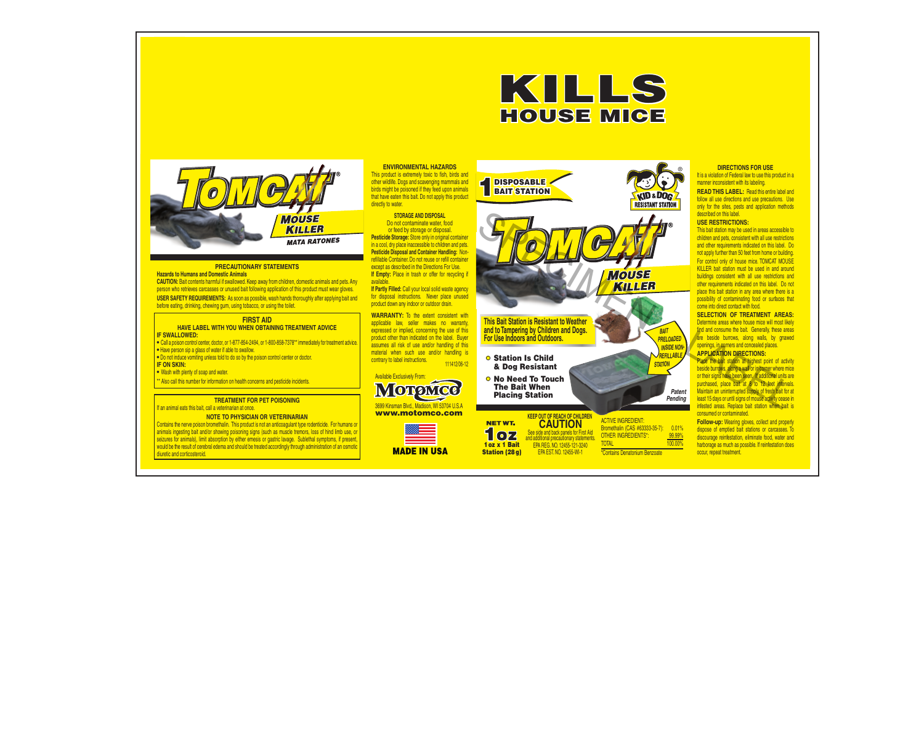

and additional precautionary statements. EPA REG. NO. 12455-121-3240 EPA EST. NO. 12455-WI-1

TOTAL 100.00% and 100.00% \*Contains Denatonium Benzoate

1 oz x 1 Bait Station (28 g)

#### **DIRECTIONS FOR USE**

It is a violation of Federal law to use this product in a manner inconsistent with its labeling.

**READ THIS LABEL:** Read this entire label and follow all use directions and use precautions. Use only for the sites, pests and application methods described on this label.

### **USE RESTRICTIONS:**

This bait station may be used in areas accessible to children and pets, consistent with all use restrictions and other requirements indicated on this label. Do not apply further than 50 feet from home or building.

For control only of house mice. TOMCAT MOUSE KILLER bait station must be used in and around buildings consistent with all use restrictions and other requirements indicated on this label. Do not place this bait station in any area where there is a possibility of contaminating food or surfaces that come into direct contact with food.

### **SELECTION OF TREATMENT AREAS:**

Determine areas where house mice will most likely find and consume the bait. Generally, these areas are beside burrows, along walls, by gnawed openings, in corners and concealed places.

#### **APPLICATION DIRECTIONS:**

Place the bait station at highest point of activity beside burrows, along a wall or in corner where mice or their signs have been seen. If additional units are purchased, place bait at 8 to 12 feet intervals. Maintain an uninterrupted supply of fresh bait for at least 15 days or until signs of mouse activity cease in infested areas. Replace bait station when bait is consumed or contaminated.

**Follow-up:** Wearing gloves, collect and properly dispose of emptied bait stations or carcasses. To discourage reinfestation, eliminate food, water and harborage as much as possible. If reinfestation does occur, repeat treatment.